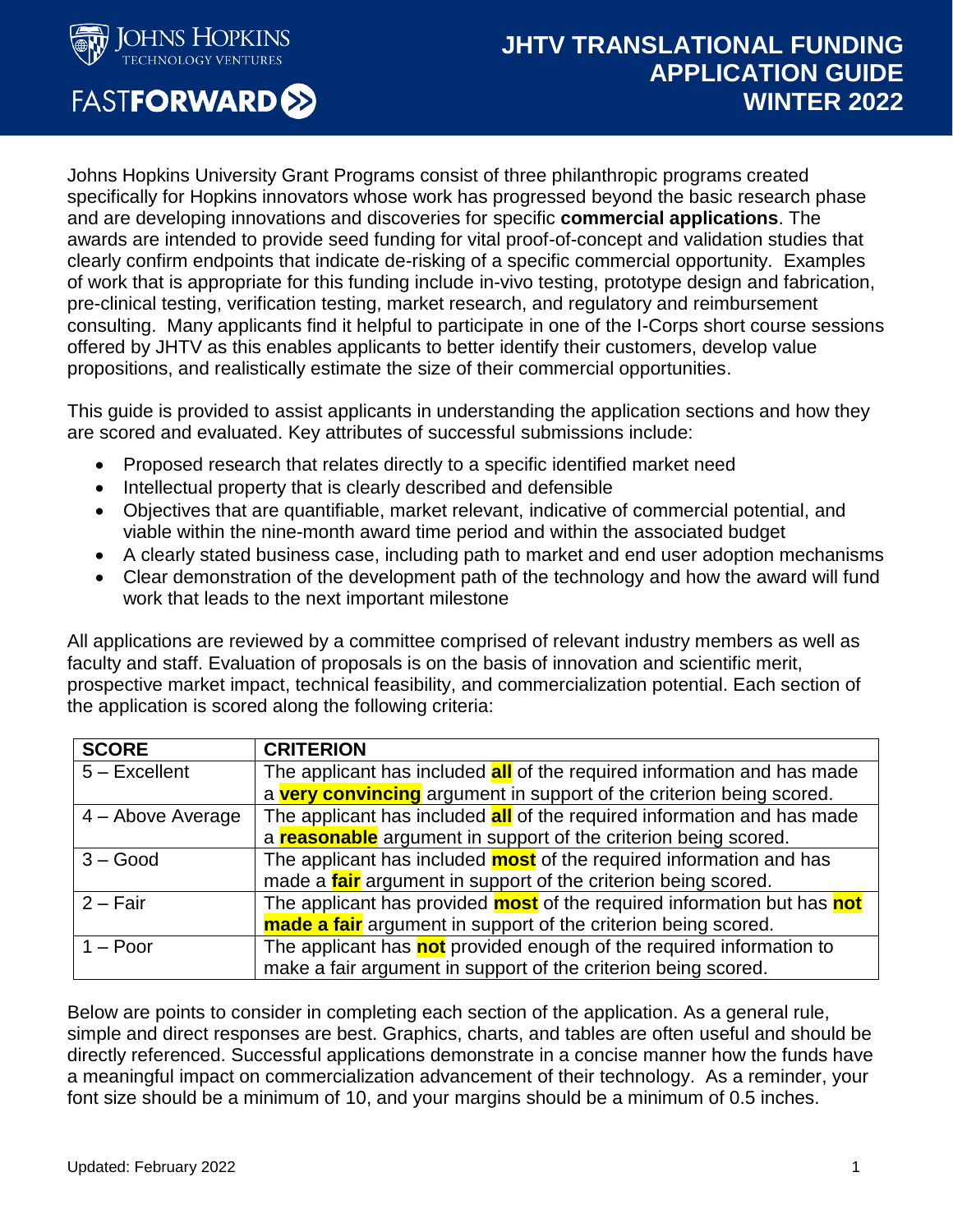

**FASTFORWARD®** 

# **JHTV TRANSLATIONAL FUNDING APPLICATION GUIDE WINTER 2022**

Johns Hopkins University Grant Programs consist of three philanthropic programs created specifically for Hopkins innovators whose work has progressed beyond the basic research phase and are developing innovations and discoveries for specific **commercial applications**. The awards are intended to provide seed funding for vital proof-of-concept and validation studies that clearly confirm endpoints that indicate de-risking of a specific commercial opportunity. Examples of work that is appropriate for this funding include in-vivo testing, prototype design and fabrication, pre-clinical testing, verification testing, market research, and regulatory and reimbursement consulting. Many applicants find it helpful to participate in one of the I-Corps short course sessions offered by JHTV as this enables applicants to better identify their customers, develop value propositions, and realistically estimate the size of their commercial opportunities.

This guide is provided to assist applicants in understanding the application sections and how they are scored and evaluated. Key attributes of successful submissions include:

- Proposed research that relates directly to a specific identified market need
- Intellectual property that is clearly described and defensible
- Objectives that are quantifiable, market relevant, indicative of commercial potential, and viable within the nine-month award time period and within the associated budget
- A clearly stated business case, including path to market and end user adoption mechanisms
- Clear demonstration of the development path of the technology and how the award will fund work that leads to the next important milestone

All applications are reviewed by a committee comprised of relevant industry members as well as faculty and staff. Evaluation of proposals is on the basis of innovation and scientific merit, prospective market impact, technical feasibility, and commercialization potential. Each section of the application is scored along the following criteria:

| <b>SCORE</b>      | <b>CRITERION</b>                                                               |
|-------------------|--------------------------------------------------------------------------------|
| $5 -$ Excellent   | The applicant has included <b>all</b> of the required information and has made |
|                   | a very convincing argument in support of the criterion being scored.           |
| 4 - Above Average | The applicant has included <b>all</b> of the required information and has made |
|                   | a <b>reasonable</b> argument in support of the criterion being scored.         |
| $3 - Good$        | The applicant has included <b>most</b> of the required information and has     |
|                   | made a <i>fair</i> argument in support of the criterion being scored.          |
| $2 - Fair$        | The applicant has provided <b>most</b> of the required information but has not |
|                   | made a fair argument in support of the criterion being scored.                 |
| $1 -$ Poor        | The applicant has not provided enough of the required information to           |
|                   | make a fair argument in support of the criterion being scored.                 |

Below are points to consider in completing each section of the application. As a general rule, simple and direct responses are best. Graphics, charts, and tables are often useful and should be directly referenced. Successful applications demonstrate in a concise manner how the funds have a meaningful impact on commercialization advancement of their technology. As a reminder, your font size should be a minimum of 10, and your margins should be a minimum of 0.5 inches.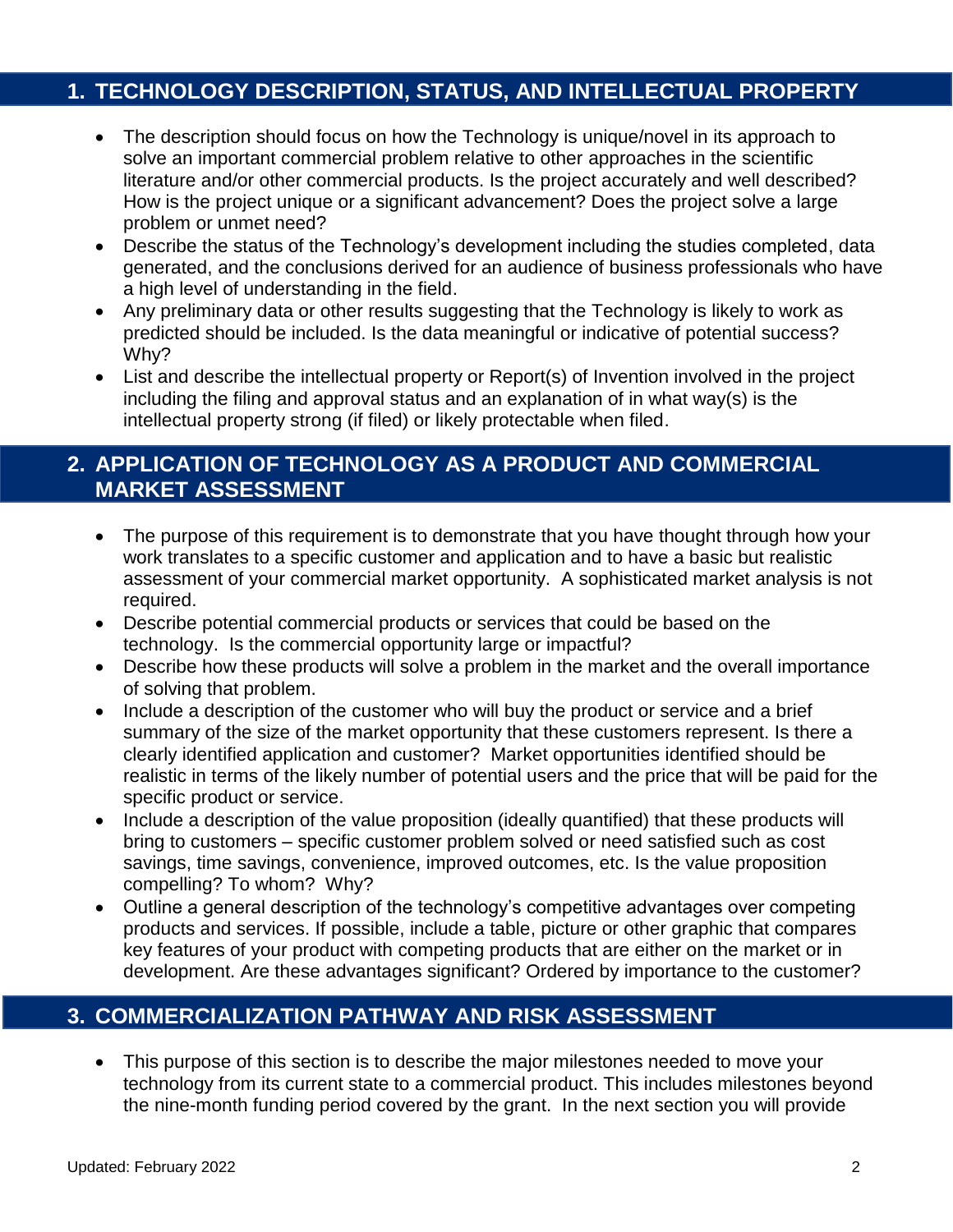#### **1. TECHNOLOGY DESCRIPTION, STATUS, AND INTELLECTUAL PROPERTY**

- The description should focus on how the Technology is unique/novel in its approach to solve an important commercial problem relative to other approaches in the scientific literature and/or other commercial products. Is the project accurately and well described? How is the project unique or a significant advancement? Does the project solve a large problem or unmet need?
- Describe the status of the Technology's development including the studies completed, data generated, and the conclusions derived for an audience of business professionals who have a high level of understanding in the field.
- Any preliminary data or other results suggesting that the Technology is likely to work as predicted should be included. Is the data meaningful or indicative of potential success? Why?
- List and describe the intellectual property or Report(s) of Invention involved in the project including the filing and approval status and an explanation of in what way(s) is the intellectual property strong (if filed) or likely protectable when filed.

#### **2. APPLICATION OF TECHNOLOGY AS A PRODUCT AND COMMERCIAL MARKET ASSESSMENT**

- The purpose of this requirement is to demonstrate that you have thought through how your work translates to a specific customer and application and to have a basic but realistic assessment of your commercial market opportunity. A sophisticated market analysis is not required.
- Describe potential commercial products or services that could be based on the technology. Is the commercial opportunity large or impactful?
- Describe how these products will solve a problem in the market and the overall importance of solving that problem.
- Include a description of the customer who will buy the product or service and a brief summary of the size of the market opportunity that these customers represent. Is there a clearly identified application and customer? Market opportunities identified should be realistic in terms of the likely number of potential users and the price that will be paid for the specific product or service.
- Include a description of the value proposition (ideally quantified) that these products will bring to customers – specific customer problem solved or need satisfied such as cost savings, time savings, convenience, improved outcomes, etc. Is the value proposition compelling? To whom? Why?
- Outline a general description of the technology's competitive advantages over competing products and services. If possible, include a table, picture or other graphic that compares key features of your product with competing products that are either on the market or in development. Are these advantages significant? Ordered by importance to the customer?

## **3. COMMERCIALIZATION PATHWAY AND RISK ASSESSMENT**

 This purpose of this section is to describe the major milestones needed to move your technology from its current state to a commercial product. This includes milestones beyond the nine-month funding period covered by the grant. In the next section you will provide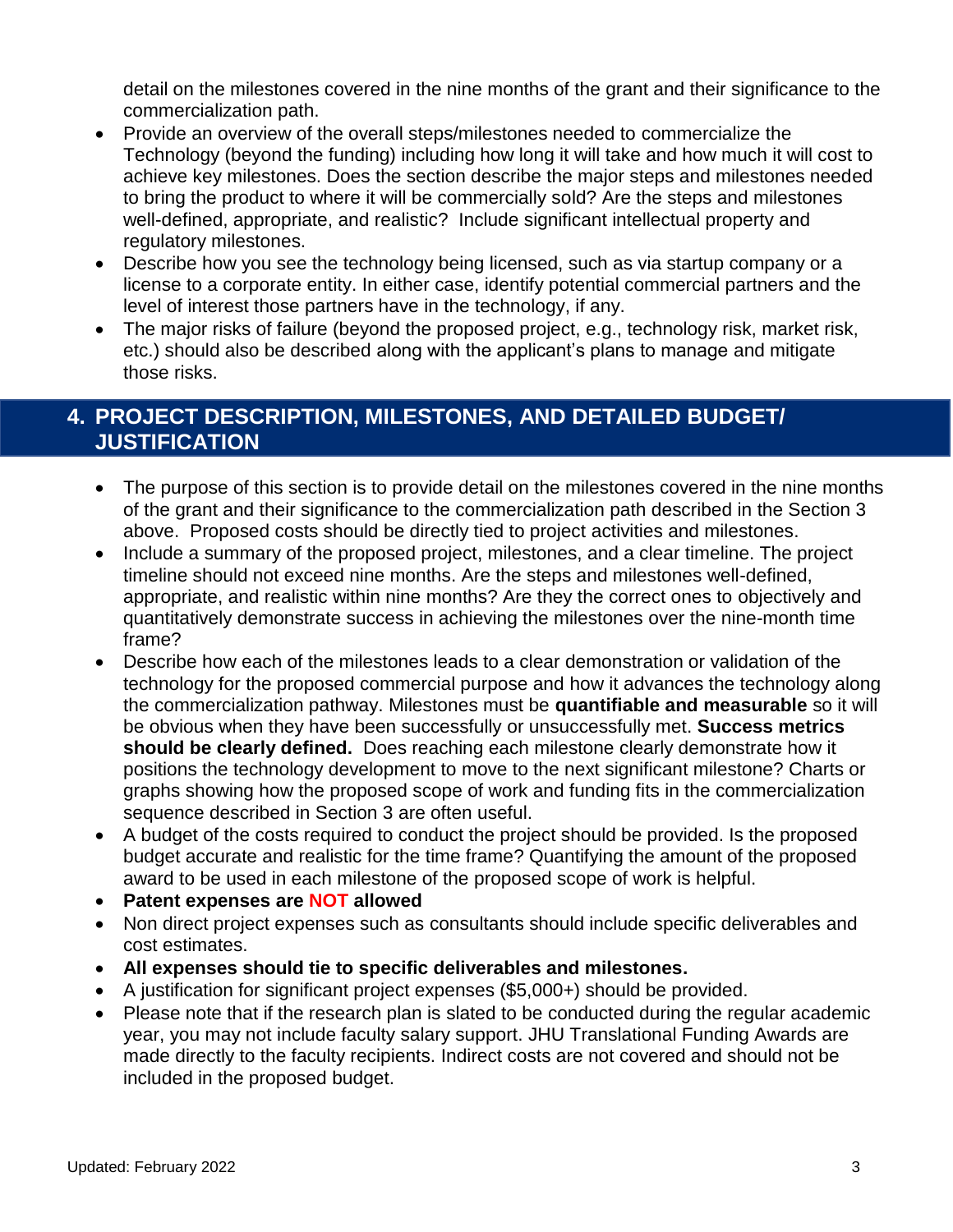detail on the milestones covered in the nine months of the grant and their significance to the commercialization path.

- Provide an overview of the overall steps/milestones needed to commercialize the Technology (beyond the funding) including how long it will take and how much it will cost to achieve key milestones. Does the section describe the major steps and milestones needed to bring the product to where it will be commercially sold? Are the steps and milestones well-defined, appropriate, and realistic? Include significant intellectual property and regulatory milestones.
- Describe how you see the technology being licensed, such as via startup company or a license to a corporate entity. In either case, identify potential commercial partners and the level of interest those partners have in the technology, if any.
- The major risks of failure (beyond the proposed project, e.g., technology risk, market risk, etc.) should also be described along with the applicant's plans to manage and mitigate those risks.

## **4. PROJECT DESCRIPTION, MILESTONES, AND DETAILED BUDGET/ JUSTIFICATION**

- The purpose of this section is to provide detail on the milestones covered in the nine months of the grant and their significance to the commercialization path described in the Section 3 above. Proposed costs should be directly tied to project activities and milestones.
- Include a summary of the proposed project, milestones, and a clear timeline. The project timeline should not exceed nine months. Are the steps and milestones well-defined, appropriate, and realistic within nine months? Are they the correct ones to objectively and quantitatively demonstrate success in achieving the milestones over the nine-month time frame?
- Describe how each of the milestones leads to a clear demonstration or validation of the technology for the proposed commercial purpose and how it advances the technology along the commercialization pathway. Milestones must be **quantifiable and measurable** so it will be obvious when they have been successfully or unsuccessfully met. **Success metrics should be clearly defined.** Does reaching each milestone clearly demonstrate how it positions the technology development to move to the next significant milestone? Charts or graphs showing how the proposed scope of work and funding fits in the commercialization sequence described in Section 3 are often useful.
- A budget of the costs required to conduct the project should be provided. Is the proposed budget accurate and realistic for the time frame? Quantifying the amount of the proposed award to be used in each milestone of the proposed scope of work is helpful.
- **Patent expenses are NOT allowed**
- Non direct project expenses such as consultants should include specific deliverables and cost estimates.
- **All expenses should tie to specific deliverables and milestones.**
- A justification for significant project expenses (\$5,000+) should be provided.
- Please note that if the research plan is slated to be conducted during the regular academic year, you may not include faculty salary support. JHU Translational Funding Awards are made directly to the faculty recipients. Indirect costs are not covered and should not be included in the proposed budget.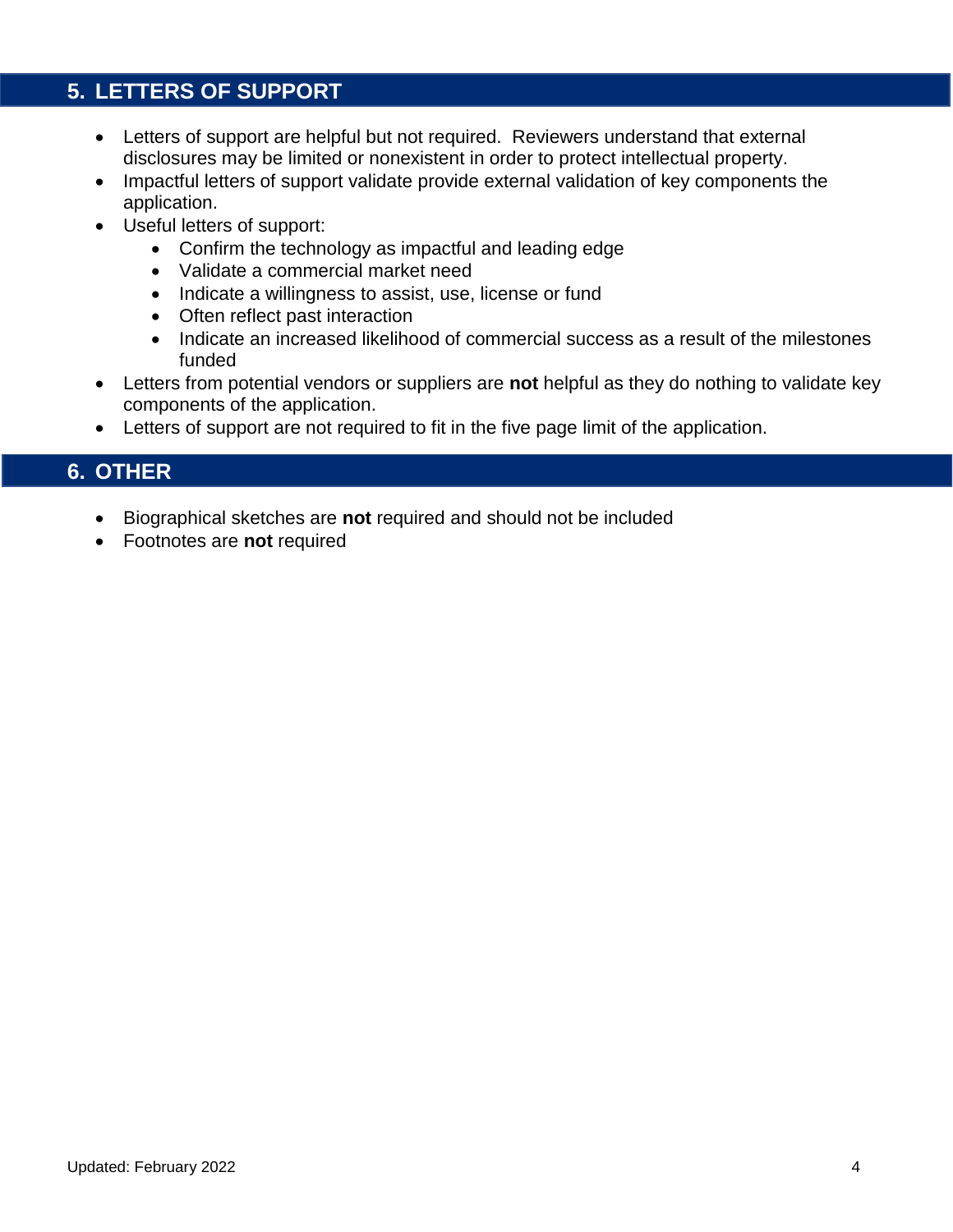## **5. LETTERS OF SUPPORT**

- Letters of support are helpful but not required. Reviewers understand that external disclosures may be limited or nonexistent in order to protect intellectual property.
- Impactful letters of support validate provide external validation of key components the application.
- Useful letters of support:
	- Confirm the technology as impactful and leading edge
	- Validate a commercial market need
	- Indicate a willingness to assist, use, license or fund
	- Often reflect past interaction
	- Indicate an increased likelihood of commercial success as a result of the milestones funded
- Letters from potential vendors or suppliers are **not** helpful as they do nothing to validate key components of the application.
- Letters of support are not required to fit in the five page limit of the application.

#### **6. OTHER**

- Biographical sketches are **not** required and should not be included
- Footnotes are **not** required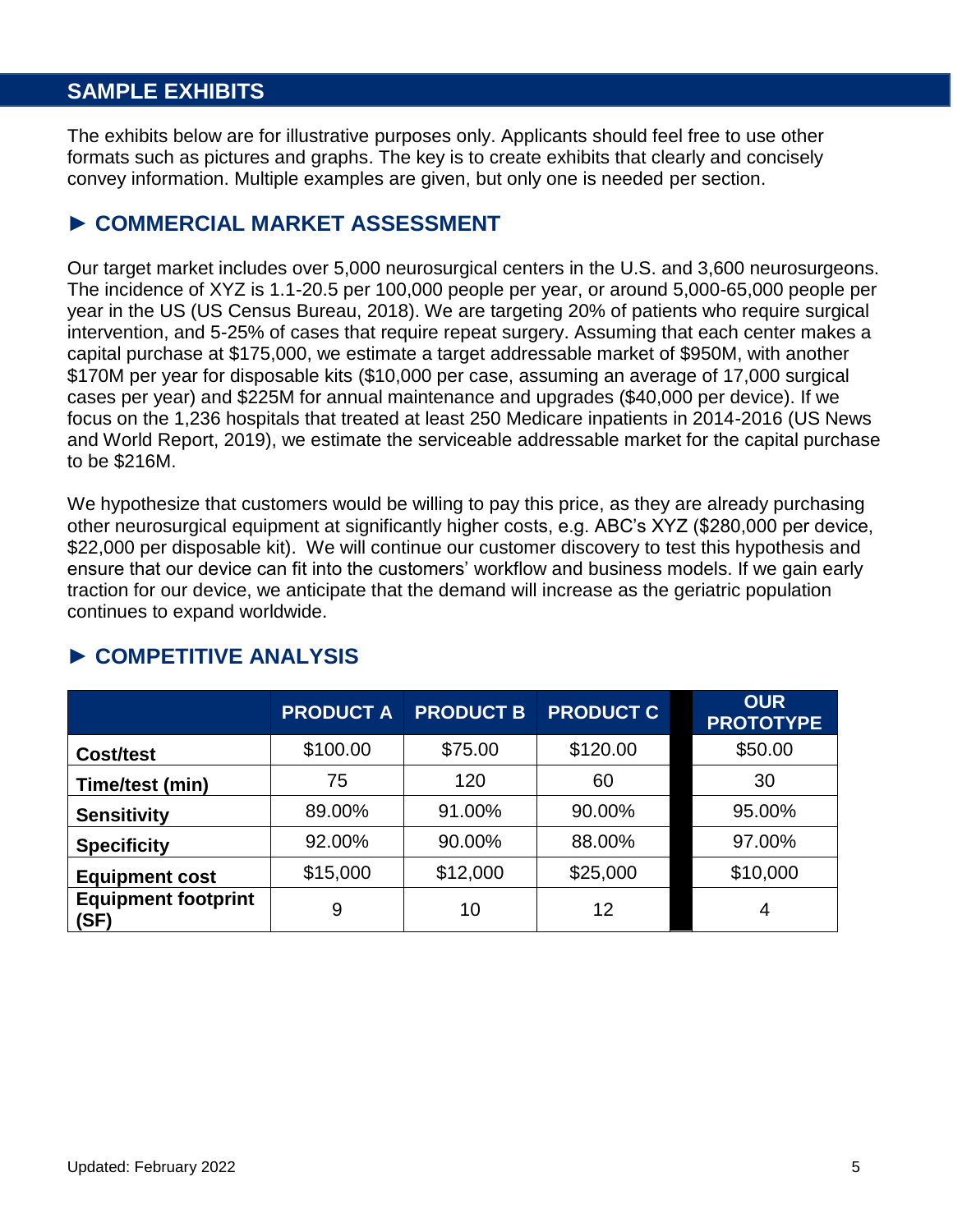## **SAMPLE EXHIBITS**

The exhibits below are for illustrative purposes only. Applicants should feel free to use other formats such as pictures and graphs. The key is to create exhibits that clearly and concisely convey information. Multiple examples are given, but only one is needed per section.

#### ► **COMMERCIAL MARKET ASSESSMENT**

Our target market includes over 5,000 neurosurgical centers in the U.S. and 3,600 neurosurgeons. The incidence of XYZ is 1.1-20.5 per 100,000 people per year, or around 5,000-65,000 people per year in the US (US Census Bureau, 2018). We are targeting 20% of patients who require surgical intervention, and 5-25% of cases that require repeat surgery. Assuming that each center makes a capital purchase at \$175,000, we estimate a target addressable market of \$950M, with another \$170M per year for disposable kits (\$10,000 per case, assuming an average of 17,000 surgical cases per year) and \$225M for annual maintenance and upgrades (\$40,000 per device). If we focus on the 1,236 hospitals that treated at least 250 Medicare inpatients in 2014-2016 (US News and World Report, 2019), we estimate the serviceable addressable market for the capital purchase to be \$216M.

We hypothesize that customers would be willing to pay this price, as they are already purchasing other neurosurgical equipment at significantly higher costs, e.g. ABC's XYZ (\$280,000 per device, \$22,000 per disposable kit). We will continue our customer discovery to test this hypothesis and ensure that our device can fit into the customers' workflow and business models. If we gain early traction for our device, we anticipate that the demand will increase as the geriatric population continues to expand worldwide.

|                                    | <b>PRODUCT A</b> | <b>PRODUCT B</b> | <b>PRODUCT C</b> | <b>OUR</b><br><b>PROTOTYPE</b> |
|------------------------------------|------------------|------------------|------------------|--------------------------------|
| Cost/test                          | \$100.00         | \$75.00          | \$120.00         | \$50.00                        |
| Time/test (min)                    | 75               | 120              | 60               | 30                             |
| <b>Sensitivity</b>                 | 89.00%           | 91.00%           | 90.00%           | 95.00%                         |
| <b>Specificity</b>                 | 92.00%           | 90.00%           | 88.00%           | 97.00%                         |
| <b>Equipment cost</b>              | \$15,000         | \$12,000         | \$25,000         | \$10,000                       |
| <b>Equipment footprint</b><br>(SF) | 9                | 10               | 12               | 4                              |

#### ► **COMPETITIVE ANALYSIS**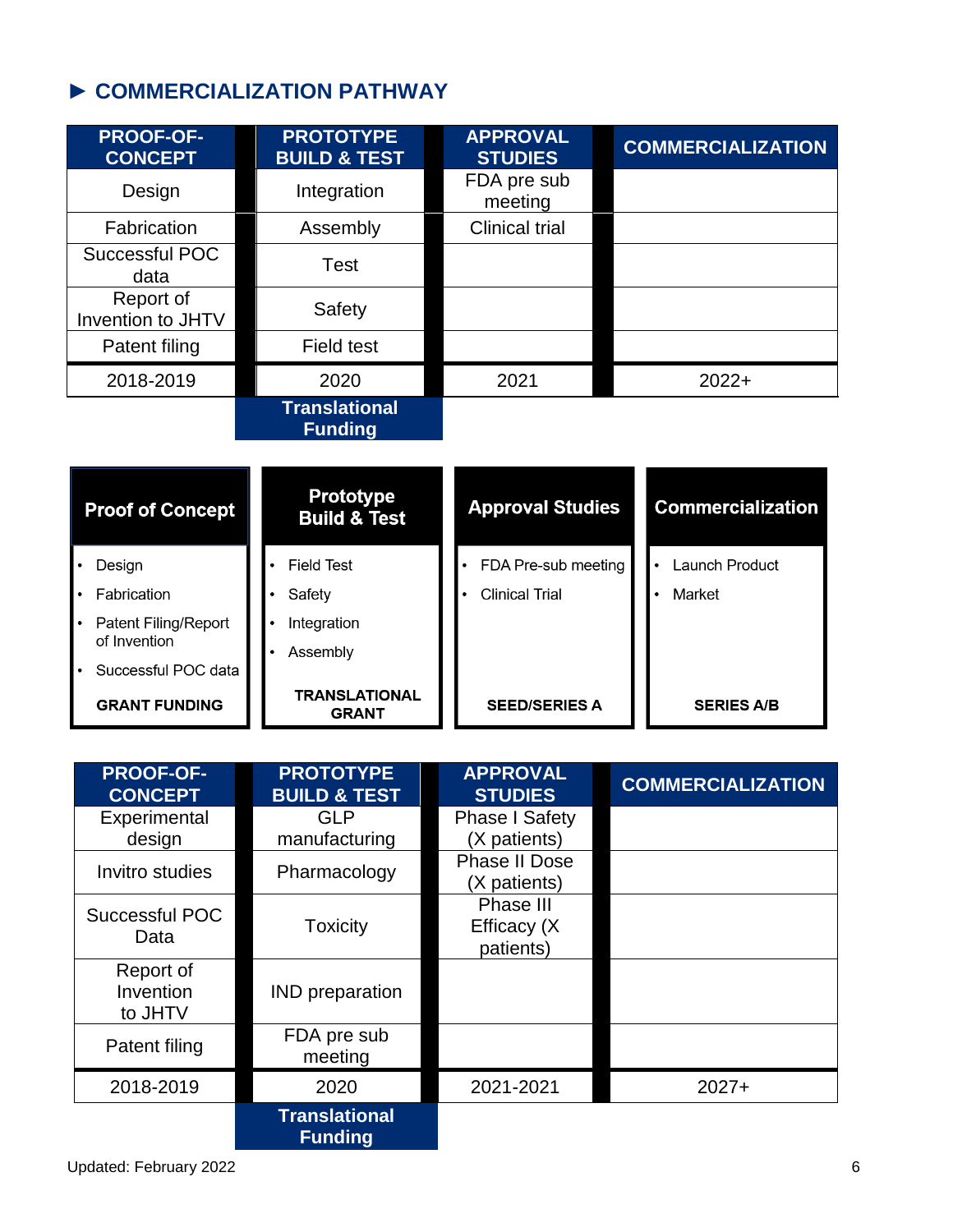# ► **COMMERCIALIZATION PATHWAY**

| <b>PROOF-OF-</b><br><b>CONCEPT</b>    | <b>PROTOTYPE</b><br><b>BUILD &amp; TEST</b> | <b>APPROVAL</b><br><b>STUDIES</b> | <b>COMMERCIALIZATION</b> |
|---------------------------------------|---------------------------------------------|-----------------------------------|--------------------------|
| Design                                | Integration                                 | FDA pre sub<br>meeting            |                          |
| Fabrication                           | Assembly                                    | <b>Clinical trial</b>             |                          |
| Successful POC<br>data                | <b>Test</b>                                 |                                   |                          |
| Report of<br><b>Invention to JHTV</b> | Safety                                      |                                   |                          |
| Patent filing                         | Field test                                  |                                   |                          |
| 2018-2019                             | 2020                                        | 2021                              | $2022+$                  |
|                                       | <b>Translational</b><br><b>Funding</b>      |                                   |                          |
|                                       |                                             |                                   |                          |

| <b>Proof of Concept</b> | <b>Prototype</b><br><b>Build &amp; Test</b> | <b>Approval Studies</b> | <b>Commercialization</b> |
|-------------------------|---------------------------------------------|-------------------------|--------------------------|
| Design                  | Field Test                                  | FDA Pre-sub meeting     | Launch Product           |
| Fabrication             | Safety                                      | <b>Clinical Trial</b>   | Market                   |
| Patent Filing/Report    | Integration                                 |                         |                          |
| of Invention            | Assembly                                    |                         |                          |
| Successful POC data     |                                             |                         |                          |
| <b>GRANT FUNDING</b>    | <b>TRANSLATIONAL</b><br><b>GRANT</b>        | <b>SEED/SERIES A</b>    | <b>SERIES A/B</b>        |

| <b>PROOF-OF-</b><br><b>CONCEPT</b> | <b>PROTOTYPE</b><br><b>BUILD &amp; TEST</b> | <b>APPROVAL</b><br><b>STUDIES</b>      | <b>COMMERCIALIZATION</b> |
|------------------------------------|---------------------------------------------|----------------------------------------|--------------------------|
| Experimental                       | <b>GLP</b>                                  | <b>Phase I Safety</b>                  |                          |
| design                             | manufacturing                               | (X patients)                           |                          |
| Invitro studies                    | Pharmacology                                | <b>Phase II Dose</b><br>(X patients)   |                          |
| Successful POC<br>Data             | <b>Toxicity</b>                             | Phase III<br>Efficacy (X)<br>patients) |                          |
| Report of<br>Invention<br>to JHTV  | <b>IND</b> preparation                      |                                        |                          |
| Patent filing                      | FDA pre sub<br>meeting                      |                                        |                          |
| 2018-2019                          | 2020                                        | 2021-2021                              | $2027+$                  |
|                                    | <b>Translational</b><br><b>Funding</b>      |                                        |                          |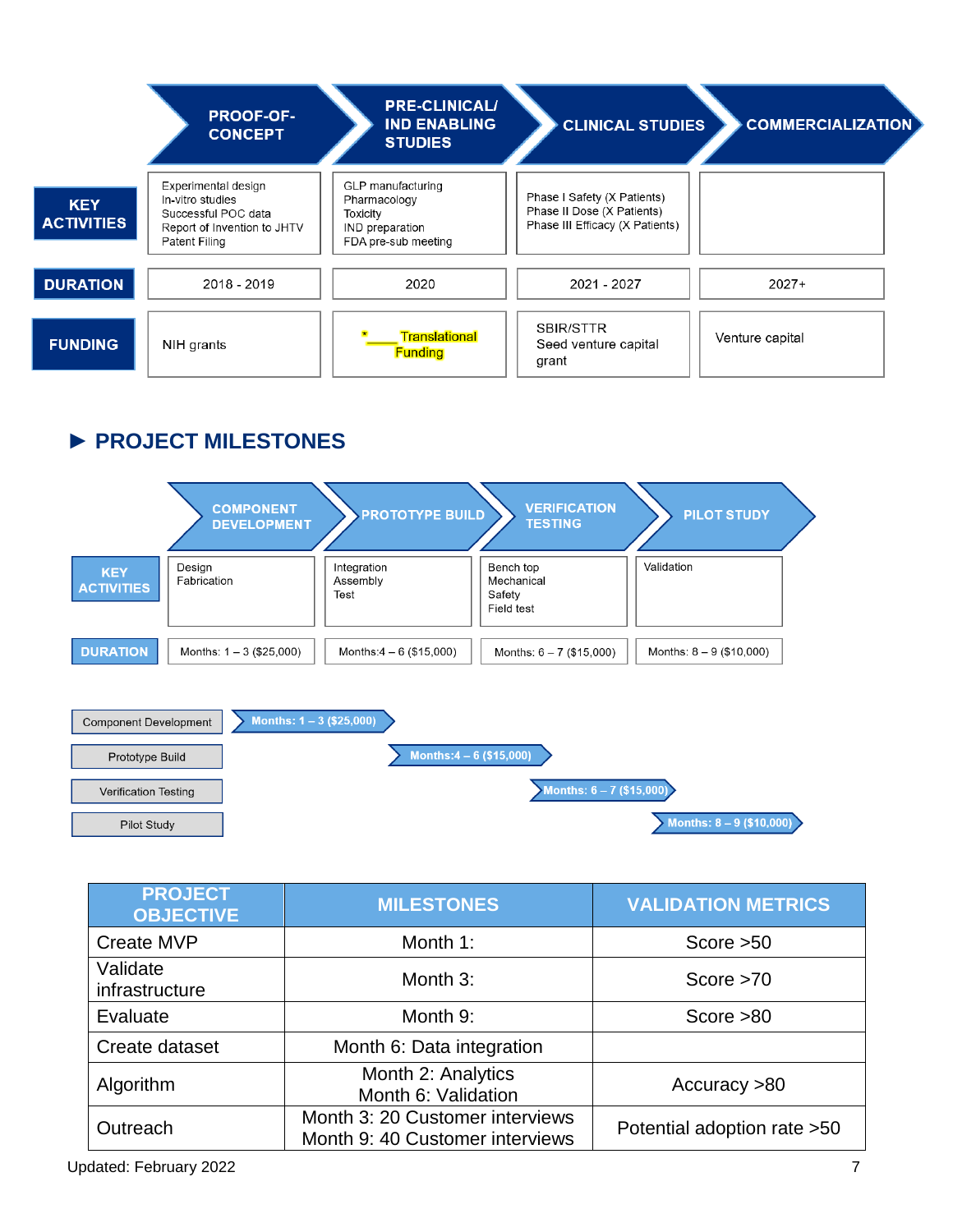|                                 | <b>PROOF-OF-</b><br><b>CONCEPT</b>                                                                             | <b>PRE-CLINICAL/</b><br><b>IND ENABLING</b><br><b>STUDIES</b>                           | <b>CLINICAL STUDIES</b>                                                                      | <b>COMMERCIALIZATION</b> |
|---------------------------------|----------------------------------------------------------------------------------------------------------------|-----------------------------------------------------------------------------------------|----------------------------------------------------------------------------------------------|--------------------------|
| <b>KEY</b><br><b>ACTIVITIES</b> | Experimental design<br>In-vitro studies<br>Successful POC data<br>Report of Invention to JHTV<br>Patent Filing | GLP manufacturing<br>Pharmacology<br>Toxicity<br>IND preparation<br>FDA pre-sub meeting | Phase I Safety (X Patients)<br>Phase II Dose (X Patients)<br>Phase III Efficacy (X Patients) |                          |
| <b>DURATION</b>                 | 2018 - 2019                                                                                                    | 2020                                                                                    | 2021 - 2027                                                                                  | $2027+$                  |
| <b>FUNDING</b>                  | NIH grants                                                                                                     | Translational<br><b>Funding</b>                                                         | SBIR/STTR<br>Seed venture capital<br>grant                                                   | Venture capital          |

## ► **PROJECT MILESTONES**

|                                 | <b>COMPONENT</b><br><b>DEVELOPMENT</b> | <b>PROTOTYPE BUILD</b>          | <b>VERIFICATION</b><br><b>TESTING</b>           | <b>PILOT STUDY</b>         |
|---------------------------------|----------------------------------------|---------------------------------|-------------------------------------------------|----------------------------|
| <b>KEY</b><br><b>ACTIVITIES</b> | Design<br>Fabrication                  | Integration<br>Assembly<br>Test | Bench top<br>Mechanical<br>Safety<br>Field test | Validation                 |
| <b>DURATION</b>                 | Months: $1 - 3$ (\$25,000)             | Months:4 – 6 (\$15,000)         | Months: $6 - 7$ (\$15,000)                      | Months: $8 - 9$ (\$10,000) |



| <b>PROJECT</b><br><b>OBJECTIVE</b> | <b>MILESTONES</b>                                                  | <b>VALIDATION METRICS</b>    |
|------------------------------------|--------------------------------------------------------------------|------------------------------|
| <b>Create MVP</b>                  | Month 1:                                                           | Score $>50$                  |
| Validate<br>infrastructure         | Month 3:                                                           | Score $>70$                  |
| Evaluate                           | Month 9:                                                           | Score $>80$                  |
| Create dataset                     | Month 6: Data integration                                          |                              |
| Algorithm                          | Month 2: Analytics<br>Month 6: Validation                          | Accuracy >80                 |
| Outreach                           | Month 3: 20 Customer interviews<br>Month 9: 40 Customer interviews | Potential adoption rate > 50 |

Updated: February 2022 7